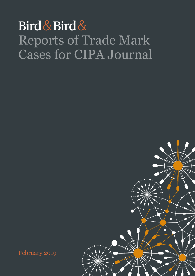## Bird & Bird & Reports of Trade Mark Cases for CIPA Journal



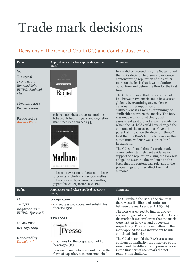# Trade mark decisions

## Decisions of the General Court (GC) and Court of Justice (CJ)

| Ref no.                                                                                                                                                       | Application (and where applicable, earlier<br>mark)                                                                                                                                                                                                                                                                                                                                                                | Comment                                                                                                                                                                                                                                                                                                                                                                                                                                                                                                                                                                                                                                                                                                                                                                                                                                                                                                                                                                                                                                                                                           |
|---------------------------------------------------------------------------------------------------------------------------------------------------------------|--------------------------------------------------------------------------------------------------------------------------------------------------------------------------------------------------------------------------------------------------------------------------------------------------------------------------------------------------------------------------------------------------------------------|---------------------------------------------------------------------------------------------------------------------------------------------------------------------------------------------------------------------------------------------------------------------------------------------------------------------------------------------------------------------------------------------------------------------------------------------------------------------------------------------------------------------------------------------------------------------------------------------------------------------------------------------------------------------------------------------------------------------------------------------------------------------------------------------------------------------------------------------------------------------------------------------------------------------------------------------------------------------------------------------------------------------------------------------------------------------------------------------------|
| GC<br>$T-105/16$<br>Philip Morris<br>Brands Sàrl v<br>EUIPO; Explosal<br>Ltd<br>1 February 2018<br>Reg 207/2009<br><b>Reported by:</b><br><b>Adeena Wells</b> | erior Ouality Cigare<br><b>FILTER CIGARETTES</b><br>Raquel<br>- tobacco pouches; tobacco; smoking<br>tobacco; tobacco, cigars and cigarettes;<br>manufactured tobacco (34)<br><b>FILTER CIGARETTES</b><br><b>Marlh</b><br>20 CLASS A CIGARETTES<br>tobacco, raw or manufactured; tobacco<br>products, including cigars, cigarettes,<br>tobacco for roll-your-own cigarettes,<br>pipe tobacco; cigarette cases (34) | In invalidity proceedings, the GC annulled<br>the BoA's decision to disregard evidence<br>demonstrating reputation of the earlier<br>mark on the basis that it was submitted<br>out of time and before the BoA for the first<br>time.<br>The GC confirmed that the existence of a<br>link between two marks must be assessed<br>globally by examining any evidence<br>demonstrating reputation and<br>distinctiveness as well as examining the<br>similarities between the marks. The BoA<br>was unable to conduct this global<br>assessment as it did not examine evidence,<br>which the GC held could have changed the<br>outcome of the proceedings. Given the<br>potential impact on the decision, the GC<br>held that the BoA's failure to consider the<br>out of time evidence was a procedural<br>irregularity.<br>The GC confirmed that if a trade mark<br>owner submitted relevant evidence in<br>support of a reputation claim, the BoA was<br>obliged to examine the evidence on the<br>basis that the content was relevant to the<br>proceedings and may affect the final<br>outcome. |
| Ref no.                                                                                                                                                       | Application (and where applicable, earlier<br>mark)                                                                                                                                                                                                                                                                                                                                                                | Comment                                                                                                                                                                                                                                                                                                                                                                                                                                                                                                                                                                                                                                                                                                                                                                                                                                                                                                                                                                                                                                                                                           |
| GC<br>$T - 67/17$<br>Italytrade Srl v<br>EUIPO; Tpresso SA<br>18 May 2018<br>Reg 207/2009<br><b>Reported by:</b><br>Daniel Anti                               | tèespresso<br>coffee, teas and cocoa and substitutes<br>therefor $(30)$<br><b>TPRESSO</b><br>$\sqrt{\frac{P}{P}}$<br>- machines for the preparation of hot<br>beverages $(11)$<br>- non-medicinal infusions and teas in the<br>form of capsules, teas; non-medicinal                                                                                                                                               | The GC upheld the BoA's decision that<br>there was a likelihood of confusion<br>between the marks under Art $8(1)(b)$ .<br>The BoA was correct to find an above-<br>average degree of visual similarity between<br>the marks: it was irrelevant that the marks<br>were written in lower and upper-case<br>respectively. The additional letters in the<br>mark applied for was insufficient to rule<br>out visual similarity.<br>The GC also upheld the BoA's assessment<br>of phonetic similarity: the structure of the<br>words and the difference in pronunciation<br>in the first part of each mark did not<br>remove this similarity.                                                                                                                                                                                                                                                                                                                                                                                                                                                         |
|                                                                                                                                                               | $1\,$                                                                                                                                                                                                                                                                                                                                                                                                              |                                                                                                                                                                                                                                                                                                                                                                                                                                                                                                                                                                                                                                                                                                                                                                                                                                                                                                                                                                                                                                                                                                   |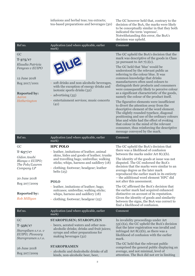|                                                                                                                                                   | infusions and herbal teas; tea extracts;<br>tea-based preparations and beverages (30)                                                                                                                | The GC however held that, contrary to the<br>decision of the BoA, the marks were likely<br>to be conceptually similar in that they both<br>indicated the term 'espresso'.<br>Notwithstanding this error, the BoA's<br>decision was upheld.                                                                                                                                                                                                                                                                                                                                                                                                                                                                                                                                                                                                                                                                     |
|---------------------------------------------------------------------------------------------------------------------------------------------------|------------------------------------------------------------------------------------------------------------------------------------------------------------------------------------------------------|----------------------------------------------------------------------------------------------------------------------------------------------------------------------------------------------------------------------------------------------------------------------------------------------------------------------------------------------------------------------------------------------------------------------------------------------------------------------------------------------------------------------------------------------------------------------------------------------------------------------------------------------------------------------------------------------------------------------------------------------------------------------------------------------------------------------------------------------------------------------------------------------------------------|
| Ref no.                                                                                                                                           | Application (and where applicable, earlier<br>mark)                                                                                                                                                  | Comment                                                                                                                                                                                                                                                                                                                                                                                                                                                                                                                                                                                                                                                                                                                                                                                                                                                                                                        |
| GC<br>$T - 375/17$<br>Klaudia Patricia<br>Fenyves v EUIPO<br>12 June 2018<br>Reg 2017/1001<br><b>Reported by:</b><br><b>Aaron</b><br>Hetherington | EIME<br>soft drinks and non-alcoholic beverages,<br>with the exception of energy drinks and<br>isotonic sports drinks (32)<br>- advertising (35)<br>- entertainment services; music concerts<br>(41) | The GC upheld the BoA's decision that the<br>mark was descriptive of the goods in Class<br>32 pursuant to Art $7(1)(c)$ .<br>The GC held that 'blue' would be<br>understood by the relevant public as<br>referring to the colour blue. It was<br>common knowledge that drinks<br>manufacturers often used colours to<br>distinguish their products and consumers<br>were consequently likely to perceive colour<br>as a significant characteristic of the goods,<br>namely the colour of the product itself.<br>The figurative elements were insufficient<br>to divert the attention away from the<br>descriptive element of the word element.<br>The slightly rounded typeface, diagonal<br>positioning and use of the ordinary colours<br>blue and white had the effect of evoking<br>that colour in the mind of the relevant<br>consumer, thus reinforcing the descriptive<br>message conveyed by the mark. |
| Ref no.                                                                                                                                           | Application (and where applicable, earlier<br>mark)                                                                                                                                                  | Comment                                                                                                                                                                                                                                                                                                                                                                                                                                                                                                                                                                                                                                                                                                                                                                                                                                                                                                        |
| GC<br>$T - 657/17$<br>Gidon Anabi<br>Blanga v EUIPO;<br>The Polo/Lauren<br>Company LP                                                             | <b>HPC POLO</b><br>- leather, imitations of leather, animal<br>skins, hides and goods of leather; trunks<br>and travelling bags; umbrellas; walking<br>sticks; whips, harness and saddlery (18)      | The GC upheld the BoA's decision that<br>there was a likelihood of confusion<br>between the marks under Art $8(1)(b)$ .<br>The identity of the goods at issue was not<br>disputed. The GC endorsed the BoA's                                                                                                                                                                                                                                                                                                                                                                                                                                                                                                                                                                                                                                                                                                   |
|                                                                                                                                                   | - clothing; footwear; headgear; leather<br>belts $(25)$                                                                                                                                              | decision that the marks were similar to an<br>average degree as the later mark                                                                                                                                                                                                                                                                                                                                                                                                                                                                                                                                                                                                                                                                                                                                                                                                                                 |
| 20 June 2018<br>Reg 207/2009                                                                                                                      | <b>POLO</b>                                                                                                                                                                                          | reproduced the earlier mark in its entirety<br>- the additional word element 'HPC' did<br>not alter this assessment.                                                                                                                                                                                                                                                                                                                                                                                                                                                                                                                                                                                                                                                                                                                                                                                           |
| <b>Reported by:</b><br>Rob Milligan                                                                                                               | - leather, imitations of leather; bags;<br>suitcases; umbrellas; walking sticks;<br>whips, harness and saddlery (18)<br>- clothing; footwear; headgear (25)                                          | The GC affirmed the BoA's decision that<br>the earlier mark had acquired enhanced<br>distinctive on account of its reputation.<br>Given the identity of goods and similarity<br>between the signs, the BoA was correct to<br>find a likelihood of confusion.                                                                                                                                                                                                                                                                                                                                                                                                                                                                                                                                                                                                                                                   |
| Ref no.                                                                                                                                           | Application (and where applicable, earlier<br>mark)                                                                                                                                                  | Comment                                                                                                                                                                                                                                                                                                                                                                                                                                                                                                                                                                                                                                                                                                                                                                                                                                                                                                        |
| GC<br>$T - 556/17$<br>Staropilsen s.r.o. v<br>EUIPO; Pivovary<br>Staropramen s.r.o.                                                               | STAROPILSEN; STAROPLZEN<br>- beers, aerated waters and other non-<br>alcoholic drinks; drinks and fruit juices;<br>syrups and other preparations for<br>making beverages (32)                        | In invalidity proceedings under Art<br>$53(1)(a)$ , the GC upheld the BoA's decision<br>that the later registration was invalid and<br>infringed Art $8(1)(b)$ , as there was a<br>likelihood of confusion with the earlier<br>mark.<br>The GC held that the relevant public                                                                                                                                                                                                                                                                                                                                                                                                                                                                                                                                                                                                                                   |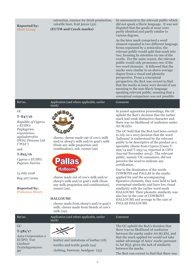| <b>Reported by:</b><br><b>Mark Livsey</b>                                                                                                                                                        | extraction, essence for drink production,<br>calorific beer, fruit juices (32)<br>(EUTM and Czech marks)                                                                                                                                                            | its assessment to the relevant public which<br>did not speak a Slavic language. It was not<br>disputed that the goods at issue were<br>partly identical and partly similar to<br>various degrees.<br>As the later mark comprised a word<br>element repeated in two different language<br>forms separated by a semicolon, the<br>relevant public would split that mark into<br>two, focusing its attention on one of the<br>words. For the same reason, the relevant                                                                                                                                                                                     |
|--------------------------------------------------------------------------------------------------------------------------------------------------------------------------------------------------|---------------------------------------------------------------------------------------------------------------------------------------------------------------------------------------------------------------------------------------------------------------------|---------------------------------------------------------------------------------------------------------------------------------------------------------------------------------------------------------------------------------------------------------------------------------------------------------------------------------------------------------------------------------------------------------------------------------------------------------------------------------------------------------------------------------------------------------------------------------------------------------------------------------------------------------|
|                                                                                                                                                                                                  |                                                                                                                                                                                                                                                                     | public would only pronounce one of the<br>two word elements. It followed that the<br>marks were similar to an above average<br>degree from a visual and phonetic<br>perspective. From a conceptual<br>perspective, the BoA was correct to find<br>that the marks at issue were devoid of any<br>meaning to the non-Slavic language<br>speaking relevant public, meaning that a<br>conceptual comparison was not possible.                                                                                                                                                                                                                               |
| Ref no.                                                                                                                                                                                          | Application (and where applicable, earlier<br>mark)                                                                                                                                                                                                                 | Comment                                                                                                                                                                                                                                                                                                                                                                                                                                                                                                                                                                                                                                                 |
| GC<br>$T - 847/16$<br>Republic of Cyprus<br>$v$ EUIPO;<br>Pagkyprios<br>organismos<br>ageladotrofon<br>(POA) Dimosia Ltd<br>('POA")<br>and<br>$T - 825/16$<br>Cyprus v EUIPO;<br>Papouis Dairies | cheese; cheese made out of cow's milk<br>and/or sheep's milk and/or goat's milk<br>(from any milk proportion and<br>combination), salt, rennet (29)<br><b>DAIRS</b><br><b>GILLGP</b><br><b>Halloumi</b>                                                             | In joined opposition proceedings, the GC<br>upheld the BoA's decision that the earlier<br>mark had weak distinctive character and<br>there was no likelihood of confusion under<br>Art $8(1)(b)$ .<br>The GC held that the BoA had been correct<br>to rely on a 2015 decision that the word<br>'halloumi' is understood by the relevant<br>public to be descriptive of the product as a<br>speciality cheese from Cyprus (Cases T-<br>292/14 and T-293/14, reported in CIPA<br>Journal November 2015). The relevant<br>public, namely UK consumers, did not<br>perceive the word to indicate any<br>certification.<br>Due to the dominance of the words |
| 13 July 2018<br>Reg 207/2009<br><b>Reported by:</b><br><b>Francesca Rivers</b>                                                                                                                   | cheese made out of cow's milk and/or<br>sheep's milk and/or goat's milk (from<br>any milk proportion and combination),<br>rennet $(29)$ .<br><b>HALLOUMI</b><br>- cheese made from sheep's and/or goat's<br>milk; cheese made from blends of cow's<br>milk $(29)$ . | COWBOYS and PALLAS in the marks<br>applied for and the accompanying<br>figurative elements, they were held to lack<br>conceptual similarity and have low visual<br>similarity with the earlier word mark<br>HALLOUMI. Their phonetic similarity was<br>also low in the case of COWBOYS<br>HALLOUMI and average in the case of<br>PALLAS HALLOUMI.                                                                                                                                                                                                                                                                                                       |

| Ref no.                                                                                       | Application (and where applicable, earlier<br>mark)                                                                  | Comment                                                                                                                                                                                                                                                                                                                                   |
|-----------------------------------------------------------------------------------------------|----------------------------------------------------------------------------------------------------------------------|-------------------------------------------------------------------------------------------------------------------------------------------------------------------------------------------------------------------------------------------------------------------------------------------------------------------------------------------|
| GC<br>$T - 581/17$<br>Asics Corporation v<br>EUIPO; Van<br>Lieshout<br>Textielagenturen<br>BV | - leather and imitations of leather (18)<br>- textiles and textile goods (24)<br>- clothing, footwear, headgear (25) | The GC upheld the BoA's decision that<br>there was no likelihood of confusion<br>between the marks under Art $8(1)(b)$ , and<br>that the mark applied for would not take<br>unfair advantage of Asics' marks pursuant<br>to Art $8(5)$ , given the lack of similarity<br>between the marks.<br>The BoA was correct to find that there was |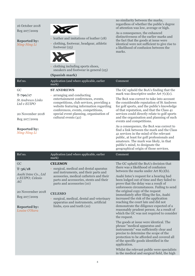| 16 October 2018<br>Reg 207/2009<br><b>Reported by:</b><br>Ning-Ning Li                                                                            | - leather and imitations of leather (18)<br>- clothing, footwear, headgear, athletic<br>footwear $(25)$<br>clothing including sports shoes,<br>sneakers and footwear in general $(25)$<br>(Spanish mark)                                                                                                                                                   | no similarity between the marks,<br>regardless of whether the public's degree<br>of attention was low, average or high.<br>As a consequence, the enhanced<br>distinctiveness of the earlier marks and<br>the fact that the goods at issue were<br>identical were not sufficient to give rise to<br>a likelihood of confusion between the<br>marks.                                                                                                                                                                                                                                                                                                                                                                                                                                                                                                                                                                                              |
|---------------------------------------------------------------------------------------------------------------------------------------------------|------------------------------------------------------------------------------------------------------------------------------------------------------------------------------------------------------------------------------------------------------------------------------------------------------------------------------------------------------------|-------------------------------------------------------------------------------------------------------------------------------------------------------------------------------------------------------------------------------------------------------------------------------------------------------------------------------------------------------------------------------------------------------------------------------------------------------------------------------------------------------------------------------------------------------------------------------------------------------------------------------------------------------------------------------------------------------------------------------------------------------------------------------------------------------------------------------------------------------------------------------------------------------------------------------------------------|
| Ref no.                                                                                                                                           | Application (and where applicable, earlier<br>mark)                                                                                                                                                                                                                                                                                                        | Comment                                                                                                                                                                                                                                                                                                                                                                                                                                                                                                                                                                                                                                                                                                                                                                                                                                                                                                                                         |
| GC<br>$T - 790/17$<br><b>St Andrews Links</b><br>Ltd v EUIPO<br>20 November 2018<br>Reg 207/2009<br><b>Reported by:</b><br>Ning-Ning Li           | <b>ST ANDREWS</b><br>- arranging and conducting<br>entertainment conferences, events,<br>competitions, club services, providing a<br>website featuring information regarding<br>conferences, events, competitions,<br>special event planning, organisation of<br>cultural events (41)                                                                      | The GC upheld the BoA's finding that the<br>mark was descriptive under Art $7(1)(c)$ .<br>The BoA was correct to take into account<br>the considerable reputation of St Andrews<br>for golf sports, and the public's knowledge<br>of that reputation, and that the Class 41<br>services could directly relate to golf sports<br>and the organisation and planning of such<br>events and competitions.<br>As a consequence, the BoA was correct to<br>find a link between the mark and the Class<br>41 services in the mind of the relevant<br>public, at least for golf professionals and<br>amateurs. The mark was likely, in that<br>public's mind, to designate the<br>geographical origin of those services.                                                                                                                                                                                                                                |
| Ref no.                                                                                                                                           | Application (and where applicable, earlier<br>mark)                                                                                                                                                                                                                                                                                                        | Comment                                                                                                                                                                                                                                                                                                                                                                                                                                                                                                                                                                                                                                                                                                                                                                                                                                                                                                                                         |
| GC<br>$T - 36/18$<br>Asahi Intec Co., Ltd<br>v EUIPO; Celesio<br>A G<br>20 Novermber 2018<br>Reg 207/2009<br><b>Reported by:</b><br>Louise O'Hara | <b>CELESON</b><br>surgical, medical and dental aparatus<br>and instruments, and their parts and<br>acessories, medical catheters and their<br>parts and accessories, stents and their<br>parts and accessories (10)<br><b>CELESIO</b><br>- surgical, medical, dental and veterinary<br>apparatus and instruments, artificial<br>limbs, eyes and teeth (10) | The GC upheld the BoA's decision that<br>there was a likelihood of confusion<br>between the marks under Art $8(1)(b)$ .<br>Asahi Intec's request for a hearing had<br>been lodged out of time and they failed to<br>prove that the delay was a result of<br>unforeseen circumstances. Failing to send<br>the original copy of the request<br>immediately after filing the fax, Asahi<br>increased the risk of the application<br>reaching the court late and did not<br>demonstrate the diligence expected of a<br>reasonably prudent person. As a result of<br>which the GC was not required to consider<br>the request.<br>The goods at issue were identical. The<br>phrase "medical apparatus and<br>instruments" was sufficiently clear and<br>precise to determine the scope of the<br>protection to be afforded and covered all<br>of the specific goods identified in the<br>application.<br>Whilst the relevant public were specialists |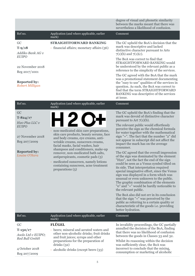|                                                                                                                                                         |                                                                                                                                                                                                                                                                                                                                                                                                                             | degree of visual and phonetic similarity<br>between the marks meant that there was<br>nevertheless a likelihood of confusion.                                                                                                                                                                                                                                                                                                                                                                                                                                                                                                                                                                                                                                                                                                                                                                                                                                                                                                                                                                 |
|---------------------------------------------------------------------------------------------------------------------------------------------------------|-----------------------------------------------------------------------------------------------------------------------------------------------------------------------------------------------------------------------------------------------------------------------------------------------------------------------------------------------------------------------------------------------------------------------------|-----------------------------------------------------------------------------------------------------------------------------------------------------------------------------------------------------------------------------------------------------------------------------------------------------------------------------------------------------------------------------------------------------------------------------------------------------------------------------------------------------------------------------------------------------------------------------------------------------------------------------------------------------------------------------------------------------------------------------------------------------------------------------------------------------------------------------------------------------------------------------------------------------------------------------------------------------------------------------------------------------------------------------------------------------------------------------------------------|
| Ref no.                                                                                                                                                 | Application (and where applicable, earlier<br>mark)                                                                                                                                                                                                                                                                                                                                                                         | Comment                                                                                                                                                                                                                                                                                                                                                                                                                                                                                                                                                                                                                                                                                                                                                                                                                                                                                                                                                                                                                                                                                       |
| GC<br>$T - 9/18$<br>Addiko Bank AG v<br><b>EUIPO</b>                                                                                                    | <b>STRAIGHTFORWARD BANKING</b><br>- financial affairs; monetary affairs (36)                                                                                                                                                                                                                                                                                                                                                | The GC upheld the BoA's decision that the<br>mark was descriptive and lacked<br>distinctive character pursuant to Arts<br>$7(1)(b)$ and $7(1)(c)$ .<br>The BoA was correct to find that                                                                                                                                                                                                                                                                                                                                                                                                                                                                                                                                                                                                                                                                                                                                                                                                                                                                                                       |
| 22 November 2018<br>Reg 2017/1001                                                                                                                       |                                                                                                                                                                                                                                                                                                                                                                                                                             | STRAIGHTFORWARD BANKING would<br>be understood by the relevant public as a<br>reference to the simplicity of the services.                                                                                                                                                                                                                                                                                                                                                                                                                                                                                                                                                                                                                                                                                                                                                                                                                                                                                                                                                                    |
| <b>Reported by:</b><br>Robert Milligan                                                                                                                  |                                                                                                                                                                                                                                                                                                                                                                                                                             | The GC agreed with the BoA that the mark<br>was a promotional statement documenting<br>the "easy to use" qualities of the services in<br>question. As such, the BoA was correct to<br>find that the term STRAIGHTFORWARD<br>BANKING was descriptive of the services<br>at issue.                                                                                                                                                                                                                                                                                                                                                                                                                                                                                                                                                                                                                                                                                                                                                                                                              |
| Ref no.                                                                                                                                                 | Application (and where applicable, earlier<br>mark)                                                                                                                                                                                                                                                                                                                                                                         | Comment                                                                                                                                                                                                                                                                                                                                                                                                                                                                                                                                                                                                                                                                                                                                                                                                                                                                                                                                                                                                                                                                                       |
| GC<br>$T - 824/17$<br>H <sub>20</sub> Plus LLC <sub>v</sub><br><b>EUIPO</b><br>27 November 2018<br>Reg 207/2009<br><b>Reported by:</b><br>Louise O'Hara | - non-medicated skin care preparations,<br>skin care products, beauty serums, face<br>and body creams, eye creams, anti-<br>wrinkle creams, sunscreen creams,<br>facial masks, facial washes, hair<br>shampoos and conditioners, make-up<br>remover, non-medicated bath salts,<br>antiperspirants, cosmetic pads (3)<br>- medicated sunscreen, namely lotions<br>containing sunscreen, acne treatment<br>preparations $(5)$ | The GC upheld the BoA's finding that the<br>mark was devoid of distinctive character<br>pursuant to Art $7(1)(b)$ .<br>The relevant public would effortlessly<br>perceive the sign as the chemical formula<br>for water together with the mathematical<br>sign "+". The fact that the number "2" did<br>not appear in subscript did not affect the<br>impact the mark has on the average<br>consumer.<br>The GC agreed that the overall impression<br>of the sign was dominated by the element<br>"H20", not the fact the end of the sign<br>could be seen as a Venus symbol tilted on<br>its side. That interpretation required<br>special imaginative effort, since the Venus<br>sign was displayed in a form which was<br>unusual or even unknown to the public.<br>The graphic combination of the elements<br>"o" and "+" would be hardly noticeable to<br>the relevant public.<br>The BoA also did not err in its conclusion<br>that the sign "+" was perceived by the<br>public as referring to a certain quality or<br>characteristic of the goods i.e. providing<br>better hydration. |
| Ref no.                                                                                                                                                 | Application (and where applicable, earlier<br>mark)                                                                                                                                                                                                                                                                                                                                                                         | Comment                                                                                                                                                                                                                                                                                                                                                                                                                                                                                                                                                                                                                                                                                                                                                                                                                                                                                                                                                                                                                                                                                       |
| GC<br>$T-150/17$<br>Asolo Ltd v EUIPO;<br>Red Bull GmbH<br>4 October 2018<br>Reg 207/2009                                                               | <b>FLÜGEL</b><br>- beers; mineral and aerated waters and<br>other non-alcoholic drinks; fruit drinks<br>and fruit juices; syrups and other<br>preparations for the preparation of<br>drinks $(32)$<br>- alcoholic drinks (except beers (33)                                                                                                                                                                                 | In invalidity proceedings, the GC partially<br>annulled the decision of the BoA, finding<br>that there was no likelihood of confusion<br>between the goods in Classes 33 and 32.<br>Whilst its reasoning within the decision<br>was sufficiently clear, the BoA was<br>incorrect to conclude that the mixing,<br>consumption or marketing of alcoholic                                                                                                                                                                                                                                                                                                                                                                                                                                                                                                                                                                                                                                                                                                                                        |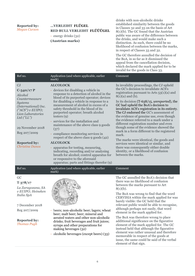### **Reported by:** *Megan Curzon*

## **…VERLEIHT FLÜGEL RED BULL VERLEIHT FLÜÜÜGEL**

- energy drinks (32) **(Austrian marks)**

drinks with non-alcoholic drinks established similarity between the goods in Classes 32 and 33 on the basis of Art 8(1)(b). The GC found that the Austrian public was aware of the difference between the drinks, and would make such a distinction. As such, there could be no likelihood of confusion between the marks, in respect of Classes 33 and 32.

The GC therefore annulled the decision of the BoA, in so far as it dismissed the appeal from the cancellation decision, which declared the mark applied for to be invalid for the goods in Class 33.

| Ref no.                                                                                                                                                                                                                               | Application (and where applicable, earlier<br>mark)                                                                                                                                                                                                                                                                                                                                                                                                                                                                                                                                                                                                          | Comment                                                                                                                                                                                                                                                                                                                                                                                                                                                                                                                                                                                                                                                                                                                                                                   |
|---------------------------------------------------------------------------------------------------------------------------------------------------------------------------------------------------------------------------------------|--------------------------------------------------------------------------------------------------------------------------------------------------------------------------------------------------------------------------------------------------------------------------------------------------------------------------------------------------------------------------------------------------------------------------------------------------------------------------------------------------------------------------------------------------------------------------------------------------------------------------------------------------------------|---------------------------------------------------------------------------------------------------------------------------------------------------------------------------------------------------------------------------------------------------------------------------------------------------------------------------------------------------------------------------------------------------------------------------------------------------------------------------------------------------------------------------------------------------------------------------------------------------------------------------------------------------------------------------------------------------------------------------------------------------------------------------|
| CJ<br>$C-340/17P$<br>Alcohol<br>Countermeasure<br><b>Systems</b><br>(International) Inc.<br>("ACS") v EUIPO;<br>Lion Laboratories<br>Ltd(''LL'')<br>29 November 2018<br>Reg 207/2009<br><b>Reported by:</b><br><b>Christine Danos</b> | <b>ALCOLOCK</b><br>- devices for disabling a vehicle in<br>response to a detection of alcohol in the<br>blood of its purported operator; devices<br>for disabling a vehicle in response to a<br>measurement of alcohol in excess of a<br>safety threshold in the blood of its<br>purported operator; breath alcohol<br>testers $(9)$<br>services for the installation and<br>maintenance of the above class 9 goods<br>(37)<br>- compliance monitoring services in<br>respect of the above class 9 goods (42)<br><b>ALCOLOCK</b><br>apparatus for testing, measuring,<br>indicating, recording and/or analysing<br>breath for alcohol; control apparatus for | In invalidity proceedings, the CJ upheld<br>the GC's decision to invalidate ACS's<br>registration pursuant to Arts $53(1)(a)$ and<br>$8(1)(a)$ and (b).<br>In its decision (T-638/15, unreported), the<br>GC had upheld the BoA's decision to<br>invalidate ACS's registration in its entirety.<br>The CJ endorsed the GC's assessment of<br>the evidence of genuine use, even though<br>the evidence referred to a mark under a<br>different registration number and even<br>though some of the evidence showed the<br>mark in a form different to the registered<br>mark.<br>The marks were identical, the goods and<br>services were identical or similar, and<br>there was consequently either double<br>identity, or a likelihood of confusion<br>between the marks. |
|                                                                                                                                                                                                                                       | or responsive to the aforesaid<br>apparatus; parts and fittings therefor (9)                                                                                                                                                                                                                                                                                                                                                                                                                                                                                                                                                                                 |                                                                                                                                                                                                                                                                                                                                                                                                                                                                                                                                                                                                                                                                                                                                                                           |
| Ref no.                                                                                                                                                                                                                               | Application (and where applicable, earlier<br>mark)                                                                                                                                                                                                                                                                                                                                                                                                                                                                                                                                                                                                          | Comment                                                                                                                                                                                                                                                                                                                                                                                                                                                                                                                                                                                                                                                                                                                                                                   |
| GC<br>$T-378/17$<br>La Zaragozana, SA<br>v EUIPO; Heineken<br>Italia SpA<br>7 December 2018<br>Reg 207/2009<br><b>Reported by:</b><br><b>Thomas Pugh</b>                                                                              | beers; non-alcoholic beer; lagers; wheat<br>beer; malt beer; beer; mineral and<br>aerated waters and other non-alcoholic<br>drinks; fruit beverages and fruit juices;<br>syrups and other preparations for<br>making beverages (32)<br>alcoholic beverages (except beers) (33)                                                                                                                                                                                                                                                                                                                                                                               | The GC annulled the BoA's decision that<br>there was no likelihood of confusion<br>between the marks pursuant to Art<br>$8(1)(b)$ .<br>The BoA was wrong to find that the word<br>CERVISIA within the mark applied for was<br>barely visible: the GC held that the<br>relevant public would be able to recognise,<br>although perhaps not easily, that word<br>element in the mark applied for.<br>The BoA was therefore wrong to place<br>additional significance on the figurative<br>element of the mark applied for. The GC<br>instead held that although the figurative<br>element was rather unusual and therefore<br>memorable in respect of the goods at<br>issue, the same could be said of the verbal<br>element of that sign.                                  |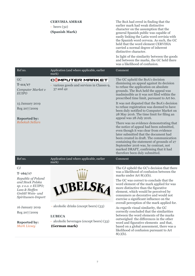|                                                                                                                                                                                                                               | <b>CERVISIA AMBAR</b><br>- beers $(32)$<br>(Spanish Mark)                                                                       | The BoA had erred in finding that the<br>earlier mark had weak distinctive<br>character on the assumption that the<br>general Spanish public was capable of<br>easily linking the Latin word cervisia with<br>the Spanish word cerveza. As such, the GC<br>held that the word element CERVISIA<br>carried a normal degree of inherent<br>distinctive character.<br>In light of the similarity between the goods<br>and between the marks, the GC held there<br>was a likelihood of confusion.                                                                                                                                                                                                                                                                                                                                                                      |
|-------------------------------------------------------------------------------------------------------------------------------------------------------------------------------------------------------------------------------|---------------------------------------------------------------------------------------------------------------------------------|--------------------------------------------------------------------------------------------------------------------------------------------------------------------------------------------------------------------------------------------------------------------------------------------------------------------------------------------------------------------------------------------------------------------------------------------------------------------------------------------------------------------------------------------------------------------------------------------------------------------------------------------------------------------------------------------------------------------------------------------------------------------------------------------------------------------------------------------------------------------|
| Ref no.                                                                                                                                                                                                                       | Application (and where applicable, earlier<br>mark)                                                                             | Comment                                                                                                                                                                                                                                                                                                                                                                                                                                                                                                                                                                                                                                                                                                                                                                                                                                                            |
| GC<br>$T-111/17$<br>Computer Market v<br><b>EUIPO</b><br>15 January 2019<br>Reg 207/2009<br><b>Reported by:</b><br><b>Rebekah Sellars</b>                                                                                     | COMPUTER MARKET<br>- various goods and services in Classes 9,<br>37 and 42                                                      | The GC upheld the BoA's decision<br>dismissing an appeal against its decision<br>to refuse the application on absolute<br>grounds. The BoA held the appeal was<br>inadmissible as it was not filed within the<br>prescribed time limit, pursuant to Art 60.<br>It was not disputed that the BoA's decision<br>to refuse registration was deemed to have<br>been duly notified to Computer Market on<br>28 May 2016. The time limit for filing an<br>appeal was 28 July 2016.<br>There was no evidence demonstrating that<br>the notice of appeal had been submitted,<br>even though it was clear from evidence<br>later submitted that the document had<br>been created in draft. The communication<br>containing the statement of grounds of 27<br>September 2016 was, by contrast, not<br>marked DRAFT, confirming that it had<br>therefore been duly submitted. |
| Ref no.                                                                                                                                                                                                                       | Application (and where applicable, earlier<br>mark)                                                                             | Comment                                                                                                                                                                                                                                                                                                                                                                                                                                                                                                                                                                                                                                                                                                                                                                                                                                                            |
| CJ<br>$T - 162/17$<br>Republic of Poland<br>and Stock Polska<br>sp. z o.o. v EUIPO;<br>Lass & Steffen<br>GmbH Wein- und<br>Spirituosen-Import<br>16 January 2019<br>Reg 207/2009<br><b>Reported by:</b><br><b>Mark Livsey</b> | UBELSR<br>- alcoholic drinks (except beers) (33)<br><b>LUBECA</b><br>- alcoholic beverages (except beers) (33)<br>(German mark) | The CJ upheld the GC's decision that there<br>was a likelihood of confusion between the<br>marks under Art $8(1)(b)$ .<br>The GC was correct to conclude that the<br>word element of the mark applied for was<br>more distinctive than the figurative<br>element, which would be perceived by<br>consumers as decorative and would not<br>exercise a significant influence on the<br>overall perception of the mark applied for.<br>As regards visual similarity, the GC<br>correctly concluded that the similarities<br>between the word elements of the marks<br>outweighed the differences in the other<br>word and figurative elements and that,<br>based on a global assessment, there was a<br>likelihood of confusion pursuant to Art<br>$8(1)(b)$ .                                                                                                        |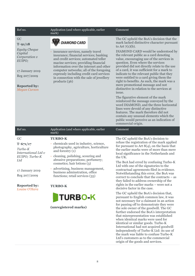| Ref no.                                                               | Application (and where applicable, earlier<br>mark)                                                                                                                                                                                                                                                                                                        | Comment                                                                                                                                                                                                                                                                                                                                                                                                                                                                                                                  |
|-----------------------------------------------------------------------|------------------------------------------------------------------------------------------------------------------------------------------------------------------------------------------------------------------------------------------------------------------------------------------------------------------------------------------------------------|--------------------------------------------------------------------------------------------------------------------------------------------------------------------------------------------------------------------------------------------------------------------------------------------------------------------------------------------------------------------------------------------------------------------------------------------------------------------------------------------------------------------------|
| GC<br>$T - 91/18$<br><b>Equity Cheque</b>                             | <b>DIAMOND CARD</b>                                                                                                                                                                                                                                                                                                                                        | The GC upheld the BoA's decision that the<br>mark lacked distinctive character pursuant<br>to Art $7(1)(b)$ .                                                                                                                                                                                                                                                                                                                                                                                                            |
| Capital<br>Corporation v<br>EUIPO;<br>17 January 2019<br>Reg 207/2009 | insurance services, namely travel<br>insurance; financial services; banking<br>and credit services; automated teller<br>macine services; providing financial<br>information over the internet and other<br>computer networks; all of the foregoing<br>expressly including credit card services<br>in connection with the sale of jewellery<br>products(36) | DIAMOND CARD would be understood by<br>the relevant public as a card denoting<br>value, encouraging use of the services in<br>question. Even where the services<br>provided did not directly relate to the use<br>of a card, it was sufficient for a mark to<br>indicate to the relevant public that they<br>were entitled to a card giving them the<br>right to benefits. As such, the mark was a                                                                                                                       |
| <b>Reported by:</b><br><b>Megan Curzon</b>                            |                                                                                                                                                                                                                                                                                                                                                            | mere promotional message and not<br>distinctive in relation to the services at<br>issue.                                                                                                                                                                                                                                                                                                                                                                                                                                 |
|                                                                       |                                                                                                                                                                                                                                                                                                                                                            | The figurative element of the mark<br>reinforced the message conveyed by the<br>word DIAMOND, and the three horizontal<br>lines were devoid of any distinctive<br>features. The mark therefore did not<br>contain any unusual elements which the<br>public would perceive as an indication of<br>commercial origin.                                                                                                                                                                                                      |
| Ref no.                                                               | Application (and where applicable, earlier<br>mark)                                                                                                                                                                                                                                                                                                        | Comment                                                                                                                                                                                                                                                                                                                                                                                                                                                                                                                  |
|                                                                       |                                                                                                                                                                                                                                                                                                                                                            |                                                                                                                                                                                                                                                                                                                                                                                                                                                                                                                          |
| GC<br>$T - 671/17$                                                    | <b>TURBO-K</b><br>- chemicals used in industry, science,                                                                                                                                                                                                                                                                                                   | The GC upheld the BoA's decision to<br>refuse the registration of the mark applied<br>for pursuant to Art $8(4)$ , on the basis that                                                                                                                                                                                                                                                                                                                                                                                     |
| Turbo-K<br>International Ltd v<br>EUIPO; Turbo-K                      | photography, agriculture, horticulture<br>and forestry (1)<br>- cleaning, polishing, scouring and                                                                                                                                                                                                                                                          | the earlier marks were of more than mere<br>local significance in the Netherlands and<br>the UK.                                                                                                                                                                                                                                                                                                                                                                                                                         |
| Ltd<br>17 January 2019<br>Reg 207/2009                                | abrasive preparations; perfumery;<br>cosmetics; hair lotions (3)<br>advertising, business management,<br>business adminstration, office<br>functions; retail services (35)                                                                                                                                                                                 | The BoA had erred by confusing Turbo-K<br>Ltd with one of the signatories to the<br>contractual agreements filed in evidence.<br>Notwithstanding this error, the BoA was<br>correct to conclude that the contracts - as<br>they failed to address ownership of the                                                                                                                                                                                                                                                       |
| <b>Reported by:</b><br>Louise O'Hara                                  | <b>TURBO-K</b>                                                                                                                                                                                                                                                                                                                                             | rights in the earlier marks – were not a<br>decisive factor in the case.                                                                                                                                                                                                                                                                                                                                                                                                                                                 |
|                                                                       | <b>TURBO-K</b><br>(unregistered marks)                                                                                                                                                                                                                                                                                                                     | The GC upheld the BoA's decision that,<br>pursuant to English common law, it was<br>not necessary for a claimant in an action<br>for passing off to demonstrate they were<br>the sole owner of the goodwill. The GC<br>further endorsed the BoA's interpretation<br>that misrepresentation was established<br>when identical marks were used for<br>identical or similar goods. Turbo-K<br>International had not acquired goodwill<br>independently of Turbo-K Ltd: its use of<br>the mark was liable to confuse Turbo-K |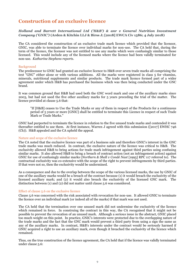## **Construction of an exclusive licence**

## *Holland and Barrett International Ltd ('H&B') & anr v General Nutrition Investment Company ('GNIC')* **(Arden & Kitchin LLJ & Birss J; [2018] EWCA Civ 1586; 4 July 2018)**

The CA considered the construction of an exclusive trade mark licence which provided that the licensor, GNIC, was able to terminate the licence over individual marks for non-use. The CA held that, during the term of the licence, the licensor was not entitled to use any marks which were confusingly similar to those licensed. This would include any of the licensed marks where the licence had been validly terminated for non-use. *Katharine Stephens reports.*

### Background

The predecessor to GNIC had granted an exclusive licence to H&B over seven trade marks all comprising the text "GNC" either alone or with various additions. All the marks were registered in class 5 for vitamins, minerals, nutritional supplements and similar products. The trade mark licence formed part of a wider agreement under which H&B has purchased the business which was then being conducted under the GNC brand.

It was common ground that H&B had used both the GNC word mark and one of the auxiliary marks since 2003, but had not used the five other auxiliary marks for 5 years preceding the trial of the matter. The licence provided at clause 5.6 that:

"If [H&B] ceases to Use the Trade Marks or any of them in respect of the Products for a continuous period of 5 years or more [GNIC] shall be entitled to terminate this Licence in respect of such Trade Mark or Trade Marks."

GNIC had purported to terminate the licence in relation to the five unused trade marks and contended it was thereafter entitled to use them. At first instance, Warren J agreed with this submission ([2017] EWHC 746 (Ch)). H&B appealed and the CA upheld the appeal.

## Nature and scope of the exclusive licence

The CA noted that the exclusive licence was part of a business sale and therefore GNIC's interest in the GNC trade marks was much reduced. In contrast, the exclusive nature of the licence was critical to H&B. The exclusivity allowed H&B to bring actions for trade mark infringement against third parties using confusing similar marks. It also allowed H&B to bring a breach of contract action (not an infringement action) against GNIC for use of confusingly similar marks (*Northern & Shell v Condé Nast* [1995] RPC 117 referred to). The contractual exclusivity was co-extensive with the scope of the right to prevent infringements by third parties. If that were not so, then the exclusivity would be undermined.

As a consequence and due to the overlap between the scope of the various licensed marks, the use by GNIC of one of the auxiliary marks would be a breach of the contract because (1) it would breach the exclusivity of the licensed auxiliary mark; and (2) it would also breach the exclusivity of the licensed GNC mark. The distinction between (1) and (2) did not matter until clause 5.6 was considered.

### Effect of clause 5.6 on the exclusive licence

Clause 5.6 was concerned with the risk associated with revocation for non-use. It allowed GNIC to terminate the licence over an individual mark (or indeed all of the marks) if that mark was not used.

The CA held that the termination over one unused mark did not undermine the exclusivity of the licence which remained in force. In construing the contract in this way, the CA recognised that it might not be possible to prevent the revocation of an unused mark. Although a serious issue in the abstract, GNIC placed too much weight on this point. In practice, GNIC's interests were protected due to the overlapping nature of the trade marks and the fact that the GNC mark would prevent a third party from using a sign the same as any of the auxiliary marks. In contrast, H&B's interests under the contract would be seriously harmed if GNIC acquired a right to use an auxiliary mark, even though it breached the exclusivity of the licence which remained.

Thus, on the true construction of the licence agreement, the CA held that if the licence was validly terminated under clause 5.6: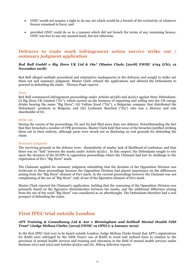- GNIC would not acquire a right to do any act which would be a breach of the exclusivity of whatever licence remained in force; and
- provided GNIC could do so in a manner which did not breach the terms of any remaining licence, GNIC was free to use any unused mark, but not otherwise.

## **Defences to trade mark infringement action survive strike out / summary judgment application**

## *Red Bull GmbH v Big Horn UK Ltd & Ots\** **(Master Clark; [2018] EWHC 2794 (Ch); 12 November 2018)**

Red Bull alleged multiple procedural and substantive inadequacies in the defences and sought to strike out them out and summary judgment. Master Clark refused the applications and allowed the Defendants to proceed in defending the claim. *Thomas Pugh reports.*

### Facts

Red Bull commenced infringement proceedings under Articles 9(2)(b) and 9(2)(c) against three Defendants: (i) Big Horn UK Limited ("D1"), which carried on the business of importing and selling into the UK energy drinks bearing the name "Big Horn"; (ii) Voltino Eood ("D2"), a Bulgarian company that distributed the Defendants' products in Bulgaria; and (iii) Lyubomir Benched ("D3") who was a director and sole shareholder of D1.

#### Strike out

During the course of the proceedings, D1 and D3 had filed more than one defence. Notwithstanding the fact that they breached a number of CPR provisions, Master Clark held that none of the breaches justified striking them out in their entirety, although parts were struck out as disclosing no real grounds for defending the claim.

#### Summary judgment

The surviving grounds in the defence were: dissimilarity of marks; lack of likelihood of confusion; and that there was no "link" between the marks under Article  $g(z)(c)$ . In this respect, the Defendants sought to rely upon the decision of the EUIPO in opposition proceedings where the Claimant had lost its challenge to the registration of D2's "Big Horn" mark.

The Claimant applied for summary judgment submitting that the decision of the Opposition Division was irrelevant to these proceedings because the Opposition Division had placed importance on the differences arising from the "Big Horn" element of D2's mark. In the current proceedings however the Claimant was not complaining of the use of "Big Horn", only of use of the figurative element of D2's mark.

Master Clark rejected the Claimant's application, holding that the reasoning of the Opposition Division was primarily based on the figurative dissimilarities between the marks, and the additional difference arising from the use of the word "Big Horn" was considered as an afterthought. The Defendants therefore had a real prospect of defending the claim.

## **First IPEC trial outside London**

### *APT Training & Consultancy Ltd & Anr v Birmingham and Solihull Mental Health NHS Trust***\* (Judge Melissa Clarke; [2019] EWHC 19 (IPEC); 9 January 2019)**

In the first IPEC trial ever to be heard outside London, Judge Melissa Clarke found that APT's registrations for RAID were infringed by the NHS Trust's use of RAID in word and stylised form in relation to the provision of mental health services and training and education in the field of mental health services under Sections 10(1) and 10(2) and Articles 9(2)(a) and (b). *Hilary Atherton reports.*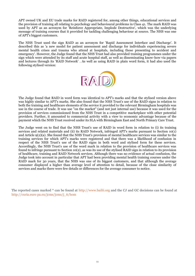APT owned UK and EU trade marks for RAID registered for, among other things, educational services and the provision of training all relating to psychology and behavioural problems in Class 41. The mark RAID was used by APT as an acronym for 'Reinforce Appropriate, Implode Destructive', which was the underlying message of training courses that it provided for tackling challenging behaviour at source. The NHS was one of APT's biggest customers.

The NHS Trust used the sign RAID as an acronym for 'Rapid Assessment Interface and Discharge'. It described this as 'a new model for patient assessment and discharge for individuals experiencing severe mental health crises and trauma who attend at hospitals, including those presenting to accident and emergency'. However, the Judge found that the NHS Trust had also provided training programmes under the sign which were attended by its staff and acute hospital staff, as well as disseminating know-how via papers and lectures through its 'RAID Network' . As well as using RAID in plain word form, it had also used the following stylised version:



The Judge found that RAID in word form was identical to APT's marks and that the stylised version above was highly similar to APT's marks. She also found that the NHS Trust's use of the RAID signs in relation to both the training and healthcare elements of the service it provided to the relevant Birmingham hospitals was use in the course of trade. It was use "on the market" (and not just internal use) because it was used for the provision of services commissioned from the NHS Trust in a competitive marketplace with other potential providers. Further, it amounted to commercial activity with a view to economic advantage because of the payment which the NHS Trust received under its SLA with Birmingham East and North Primary Care Trust.

The Judge went on to find that the NHS Trust's use of RAID in word form in relation to (i) its training services and related materials and (ii) its RAID Network, infringed APT's marks pursuant to Section 10(1) and Article 9(2)(a). She found that the NHS Trust's provision of mental healthcare services was similar to the training services for which APT's marks were registered and that there was a likelihood of confusion in respect of the NHS Trust's use of the RAID signs in both word and stylised form for these services. Accordingly, the NHS Trust's use of the word mark in relation to the provision of healthcare services was found to infringe pursuant to Section 10(2), as was its use of the stylised RAID sign in relation to its provision of healthcare, training and RAID Network services. Although there was no evidence of actual confusion, the Judge took into account in particular that APT had been providing mental health training courses under the RAID mark for 30 years, that the NHS was one of its biggest customers, and that although the average consumer displayed a higher than average level of attention to detail, because of the close similarity of services and marks there were few details or differences for the average consumer to notice.

The reported cases marked \* can be found at http://www.bailii.org and the CJ and GC decisions can be found at http://curia.euro pa.eu/jcms/jcms/j\_6/hom